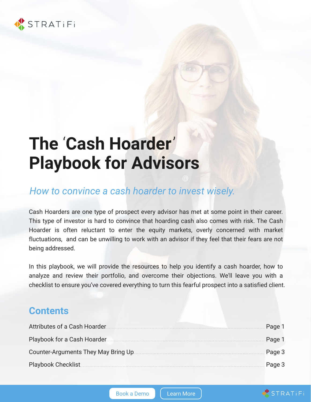

# **The** '**Cash Hoarder**' **Playbook for Advisors**

## *How to convince a cash hoarder to invest wisely.*

Cash Hoarders are one type of prospect every advisor has met at some point in their career. This type of investor is hard to convince that hoarding cash also comes with risk. The Cash Hoarder is often reluctant to enter the equity markets, overly concerned with market fluctuations, and can be unwilling to work with an advisor if they feel that their fears are not being addressed.

In this playbook, we will provide the resources to help you identify a cash hoarder, how to analyze and review their portfolio, and overcome their objections. We'll leave you with a checklist to ensure you've covered everything to turn this fearful prospect into a satisfied client.

#### **Contents**

| Attributes of a Cash Hoarder.        | Page 1 |
|--------------------------------------|--------|
| Playbook for a Cash Hoarder.         | Page 1 |
| Counter-Arguments They May Bring Up. | Page 3 |
| Playbook Checklist                   | Page 3 |

STRATIFI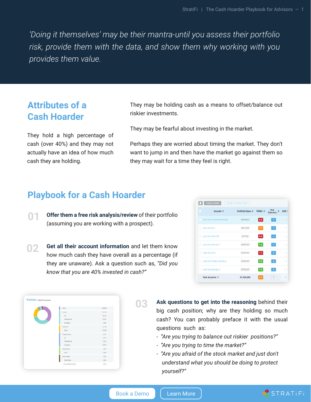*'Doing it themselves' may be their mantra-until you assess their portfolio risk, provide them with the data, and show them why working with you provides them value.*

#### **Attributes of a Cash Hoarder**

They hold a high percentage of cash (over 40%) and they may not actually have an idea of how much cash they are holding.

They may be holding cash as a means to offset/balance out riskier investments.

They may be fearful about investing in the market.

Perhaps they are worried about timing the market. They don't want to jump in and then have the market go against them so they may wait for a time they feel is right.

#### **Playbook for a Cash Hoarder**

- **01 Offer them a free risk analysis/review** of their portfolio (assuming you are working with a prospect).
- **02 Get all their account information** and let them know how much cash they have overall as a percentage (if they are unaware). Ask a question such as, *"Did you know that you are 40% invested in cash?"*

|              | Account @                    | Portfolio Value @ | <b>DOMESTIC</b><br>PRISM @ | Rick<br>Tolerance | Drift  |
|--------------|------------------------------|-------------------|----------------------------|-------------------|--------|
|              | Jane Doe Schwab Brokerage    | \$334,000         | 8.8                        |                   | ×      |
| Jane Doe IRA |                              | 5221,000          | 5.9                        |                   | - 27   |
|              | Jane Doe Roth IRA            | <b>S67,000</b>    | 8.6                        |                   | 25     |
|              | Jane Doe Savings 1           | \$250,000         | 1.0                        |                   | $\sim$ |
|              | Jane Doe 401k                | \$300,000         | 7.7                        |                   | $\sim$ |
|              | Jane Doe Fidelity Individual | \$244,000         | 3.3                        |                   | $\sim$ |
|              | Jane Doe Savings 2           | \$150,000         | 1.0                        |                   | $\sim$ |
|              | <b>Total Accounts: 7</b>     | \$1,566,000       | 5.3                        | $+$               | $\sim$ |

|  | Cash <sup>2</sup>       | 36.97%      |
|--|-------------------------|-------------|
|  | Esimp                   | 3121%       |
|  | US:                     | 23.9%       |
|  | imimational             | <b>BATK</b> |
|  | Environce               | 1285        |
|  | <b>Halessed</b>         | 19,35%      |
|  | <b>Other</b>            | 19.16%      |
|  | Fued Impose             | 626         |
|  | <b>Inch</b>             | 4735        |
|  | international           | 13,6%       |
|  | <b>Emergens</b>         | <b>EXPL</b> |
|  | Attm#ires               | 120%        |
|  | Other                   | 123%        |
|  | <b>Gesi Agents</b>      | 12pm        |
|  | <b><i>lus Edale</i></b> | 1285        |

**03**

**Ask questions to get into the reasoning** behind their big cash position; why are they holding so much cash? You can probably preface it with the usual questions such as:

- *"Are you trying to balance out riskier positions?"*
- *"Are you trying to time the market?"*
- *"Are you afraid of the stock market and just don't understand what you should be doing to protect yourself?"*

[Book a Demo](https://www.stratifi.com/book-a-demo/?utm_source=PDF&utm_medium=Downloadable&utm_campaign=CashHoarderPlaybook&utm_content=Demo) | | [Learn More](https://www.stratifi.com/why-stratifi-page/?utm_source=PDF&utm_medium=Downloadable&utm_campaign=CashHoarderPlaybook&utm_content=LearnMore)

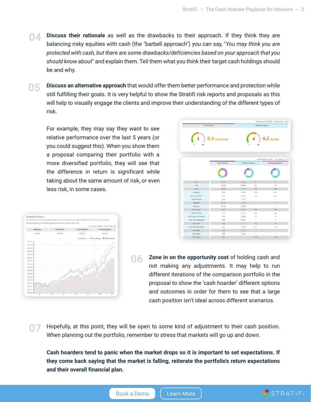- **04 Discuss their rationale** as well as the drawbacks to their approach. If they think they are balancing risky equities with cash (the "barbell approach") you can say, "*You may think you are protected with cash, but there are some drawbacks/deficiencies based on your approach that you should know about*" and explain them. Tell them what you think their target cash holdings should be and why.
- **05 Discuss an alternative approach** that would offer them better performance and protection while still fulfilling their goals. It is very helpful to show the Stratifi risk reports and proposals as this will help to visually engage the clients and improve their understanding of the different types of risk.

For example, they may say they want to see relative performance over the last 5 years (or you could suggest this). When you show them a proposal comparing their portfolio with a more diversified portfolio, they will see that the difference in return is significant while taking about the same amount of risk, or even less risk, in some cases.

|                                                  | Starting value 31,566,000 Since January 1, 2015 |                                                   |                                 |                          |  |
|--------------------------------------------------|-------------------------------------------------|---------------------------------------------------|---------------------------------|--------------------------|--|
| Quiset Portfolio<br>5.3 Moderate Risk<br>10<br>т |                                                 | ı                                                 | <b>RS Active Moderate</b><br>10 | <b>6.2 High Risk</b>     |  |
|                                                  |                                                 | Starting value: \$1,546,000 Since Jenuary 1, 2015 |                                 |                          |  |
|                                                  | Current Portfolio                               | RS Activo Moderato                                |                                 | RS Passive Moderate      |  |
|                                                  |                                                 |                                                   |                                 |                          |  |
| Cash                                             | 38.38%                                          | 36,33%                                            | 2%                              | 2%                       |  |
| Cash                                             | 28.32%                                          | $-38.27%$                                         | 2%                              | 25                       |  |
| Equity                                           | 33.21%                                          | 128.79%                                           | 62%                             | 62%                      |  |
| East fs US                                       | 22.5%                                           | $+17.5%$                                          | 41%                             | 41%                      |  |
| equity international                             | 8.43%                                           | +12.87%                                           | 21%                             | 21%                      |  |
| Equity Emerging                                  | 1.29%                                           | $-1.28%$                                          | ÷                               | $\overline{\phantom{a}}$ |  |
| <b>Balanced</b>                                  | 19.16%                                          | -19.16%                                           | $\sim$                          | $\sim$                   |  |
| Belenced                                         | 10.16%                                          | $-19.16$ %                                        | $\sim$                          | $\overline{\phantom{a}}$ |  |
| Fixed Income                                     | 6.7%                                            | 426.9%                                            | 33%                             | 33%                      |  |
| Phod income US                                   | 4.73%                                           | +21.27%                                           | 26%                             | 26%                      |  |
| Fixed Income International                       | 1.66%                                           | $+5.34%$                                          | 7%                              | 7%                       |  |
| Phedincome Emerging                              | 0.32%                                           | $-0.32\%$                                         | $\sim$                          | $\sim$                   |  |
| Real drossing                                    | 1.39%                                           | $+1.72%$                                          | 2%                              | 2%                       |  |
| Fieal Aspeta Fieal Estate                        | 1,29%                                           | $+1.72%$                                          | 3%                              | 3%                       |  |
| Alternativos                                     | 1.28%                                           | $-1.28%$                                          | $\sim$                          | $\sim$                   |  |
| Alternatives                                     | 1.29%                                           | $-1.285$                                          | $\sim$                          | $\overline{\phantom{a}}$ |  |
|                                                  |                                                 |                                                   |                                 |                          |  |



**06 Zone in on the opportunity cost** of holding cash and not making any adjustments. It may help to run different iterations of the comparison portfolio in the proposal to show the 'cash hoarder' different options and outcomes in order for them to see that a large cash position isn't ideal across different scenarios.

Hopefully, at this point, they will be open to some kind of adjustment to their cash position. When planning out the portfolio, remember to stress that markets will go up and down.

**Cash hoarders tend to panic when the market drops so it is important to set expectations. If they come back saying that the market is falling, reiterate the portfolio's return expectations and their overall financial plan.**

[Book a Demo](https://www.stratifi.com/book-a-demo/?utm_source=PDF&utm_medium=Downloadable&utm_campaign=CashHoarderPlaybook&utm_content=Demo) | | [Learn More](https://www.stratifi.com/why-stratifi-page/?utm_source=PDF&utm_medium=Downloadable&utm_campaign=CashHoarderPlaybook&utm_content=LearnMore)